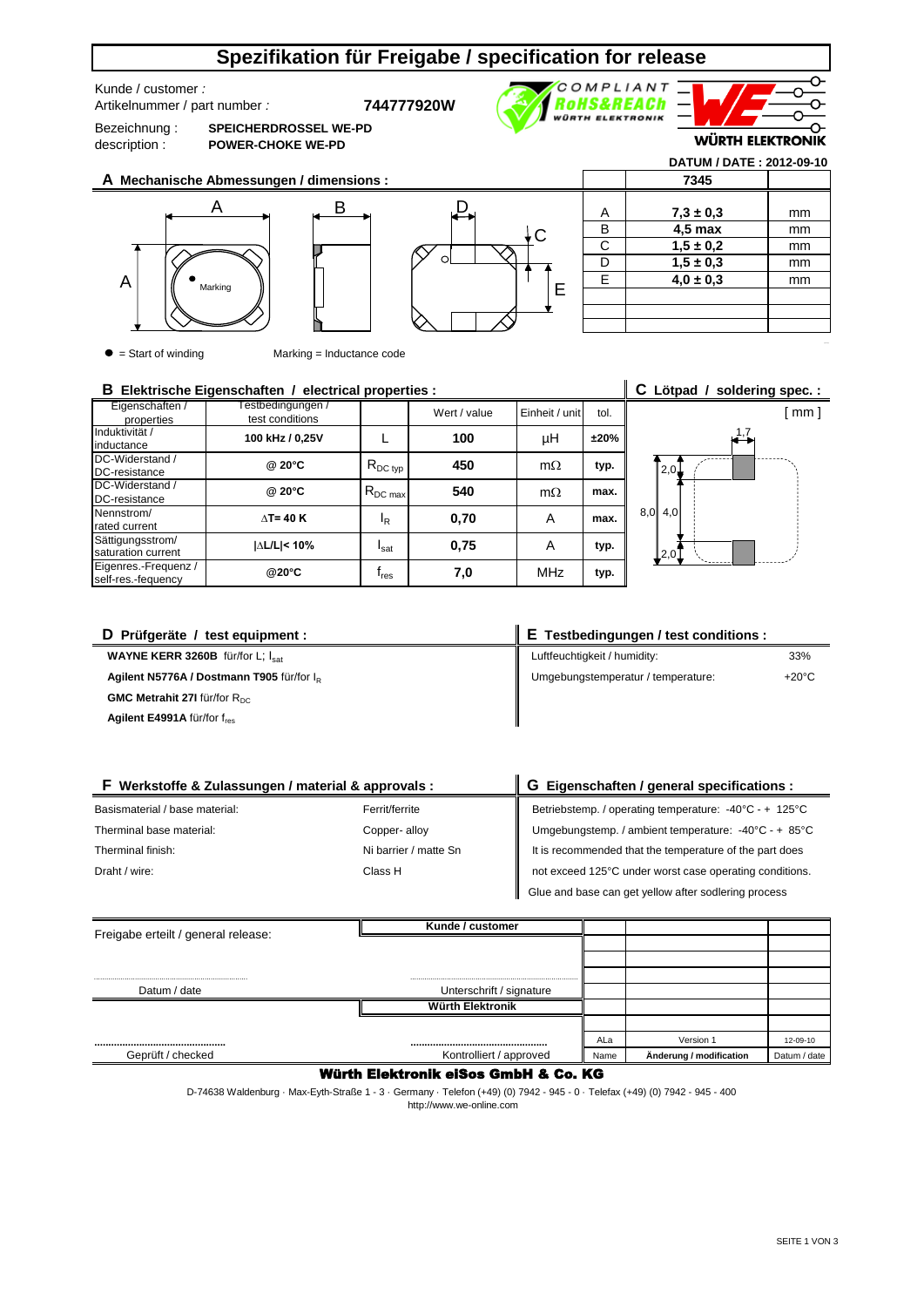## **Spezifikation für Freigabe / specification for release**

Kunde / customer *:* 

Artikelnummer / part number *:* **744777920W**

Bezeichnung : description :

**SPEICHERDROSSEL WE-PD POWER-CHOKE WE-PD**

B



E

**WÜRTH ELEKTRONIK** 

**DATUM / DATE : 2012-09-10**

↷

[ mm ]

**A Mechanische Abmessungen / dimensions :**





|   | 7345          |    |
|---|---------------|----|
|   |               |    |
| А | $7,3 \pm 0,3$ | mm |
| В | $4.5$ max     | mm |
| C | $1,5 \pm 0,2$ | mm |
| D | $1,5 \pm 0,3$ | mm |
| E | $4.0 \pm 0.3$ | mm |
|   |               |    |
|   |               |    |
|   |               |    |

 $\bullet$  = Start of winding  $\bullet$  Marking = Inductance code

#### Eigenschaften / properties est conditions and the Wert / value Einheit / unit tol. Induktivität / inductance DC-Widerstand / DC-resistance DC-Widerstand / DC-resistance Nennstrom/ rated current Sättigungsstrom/ saturation current Eigenres.-Frequenz / self-res.-fequency **@20°C** fres **7,0 typ.**  $\Delta$ T= 40 K **d**<sub>R</sub> **d**<sub>R</sub> **dd**<sub>R</sub> **d**<sub>0</sub>,70 **d** A **typ.** Isat **100** RDC max **540** MHz **±20% B Elektrische Eigenschaften / electrical properties : C Lötpad / soldering spec. : @ 20°C**  $\begin{array}{|c|c|c|c|c|} \hline \text{R}_{\text{DC type}} & \textbf{450} & \text{m}\Omega \hline \end{array}$ µH  $I_R$ **max.** A Testbedingungen / **100 kHz / 0,25V @ 20°C |∆L/L|< 10% max.**  $\mathbf{L}$ **0,75 typ.**  $m\Omega$ 1,7  $2,0$  $8,0$  4,0  $2($

| D Prüfgeräte / test equipment :                       | E Testbedingungen / test conditions : |                 |  |  |
|-------------------------------------------------------|---------------------------------------|-----------------|--|--|
| <b>WAYNE KERR 3260B</b> für/for L; $I_{\text{sat}}$   | Luftfeuchtigkeit / humidity:          | 33%             |  |  |
| Agilent N5776A / Dostmann T905 für/for I <sub>p</sub> | Umgebungstemperatur / temperature:    | $+20^{\circ}$ C |  |  |
| GMC Metrahit 27I für/for R <sub>DC</sub>              |                                       |                 |  |  |
| Agilent E4991A für/for fres                           |                                       |                 |  |  |

| F Werkstoffe & Zulassungen / material & approvals : |                       | G Eigenschaften / general specifications :                                |  |  |
|-----------------------------------------------------|-----------------------|---------------------------------------------------------------------------|--|--|
| Basismaterial / base material:                      | Ferrit/ferrite        | Betriebstemp. / operating temperature: -40°C - + 125°C                    |  |  |
| Therminal base material:                            | Copper-alloy          | Umgebungstemp. / ambient temperature: $-40^{\circ}$ C - + 85 $^{\circ}$ C |  |  |
| Therminal finish:                                   | Ni barrier / matte Sn | It is recommended that the temperature of the part does                   |  |  |
| Draht / wire:                                       | Class H               | not exceed 125°C under worst case operating conditions.                   |  |  |
|                                                     |                       | Glue and base can get yellow after sodlering process                      |  |  |

| Freigabe erteilt / general release: | Kunde / customer         |      |                         |              |
|-------------------------------------|--------------------------|------|-------------------------|--------------|
|                                     |                          |      |                         |              |
|                                     |                          |      |                         |              |
|                                     |                          |      |                         |              |
| Datum / date                        | Unterschrift / signature |      |                         |              |
|                                     | <b>Würth Elektronik</b>  |      |                         |              |
|                                     |                          |      |                         |              |
|                                     |                          | ALa  | Version 1               | 12-09-10     |
| Geprüft / checked                   | Kontrolliert / approved  | Name | Änderung / modification | Datum / date |

### Würth Elektronik eiSos GmbH & Co. KG

 http://www.we-online.com D-74638 Waldenburg · Max-Eyth-Straße 1 - 3 · Germany · Telefon (+49) (0) 7942 - 945 - 0 · Telefax (+49) (0) 7942 - 945 - 400

SEITE 1 VON 3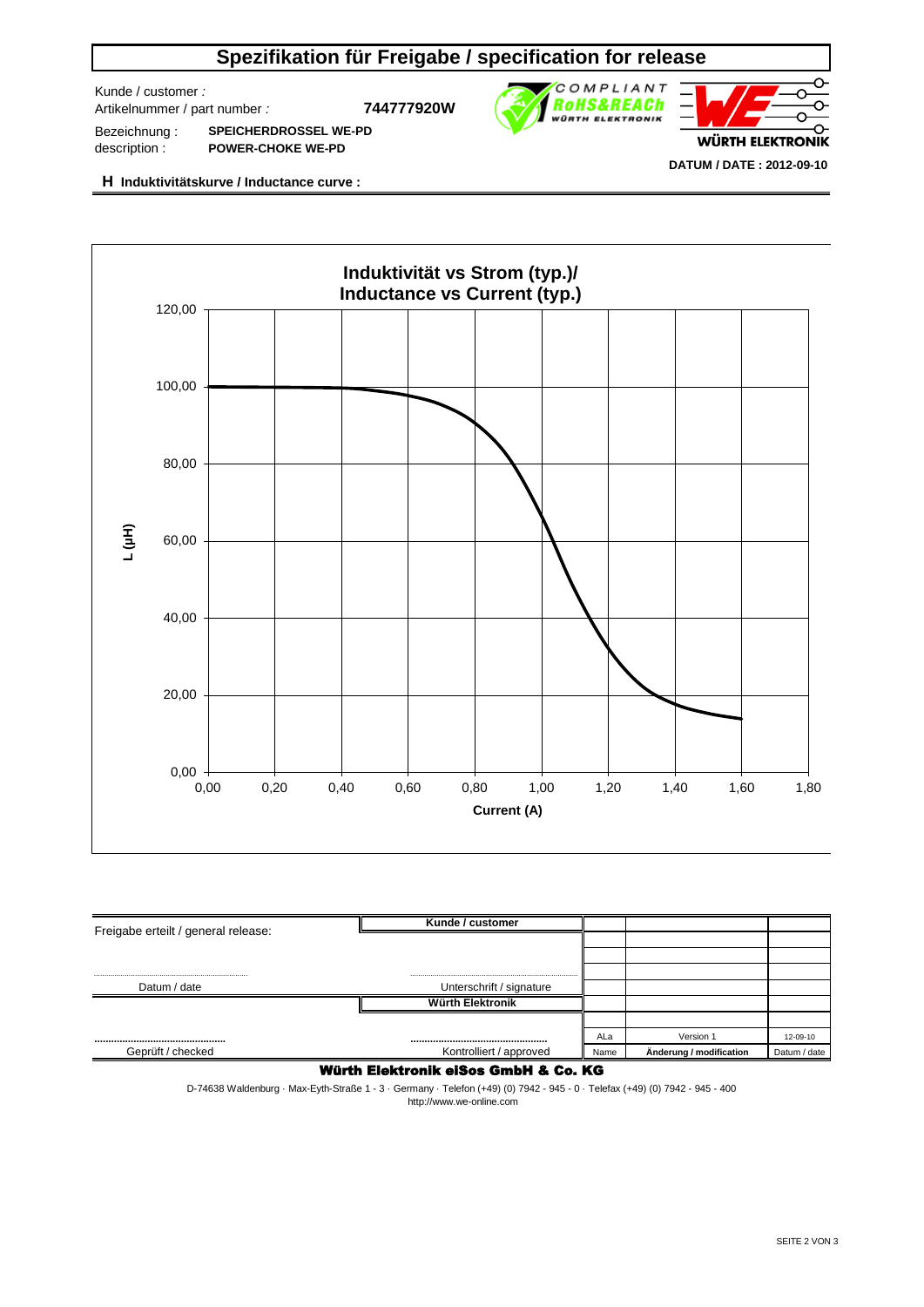# **Spezifikation für Freigabe / specification for release**

Kunde / customer *:* 

Artikelnummer / part number *:* **744777920W**



Bezeichnung : description : **SPEICHERDROSSEL WE-PD POWER-CHOKE WE-PD**

**H Induktivitätskurve / Inductance curve :**



| Freigabe erteilt / general release: | Kunde / customer         |      |                         |              |
|-------------------------------------|--------------------------|------|-------------------------|--------------|
|                                     |                          |      |                         |              |
|                                     |                          |      |                         |              |
|                                     |                          |      |                         |              |
| Datum / date                        | Unterschrift / signature |      |                         |              |
|                                     | Würth Elektronik         |      |                         |              |
|                                     |                          |      |                         |              |
|                                     |                          | ALa  | Version 1               | 12-09-10     |
| Geprüft / checked                   | Kontrolliert / approved  | Name | Änderung / modification | Datum / date |

### Würth Elektronik eiSos GmbH & Co. KG

D-74638 Waldenburg · Max-Eyth-Straße 1 - 3 · Germany · Telefon (+49) (0) 7942 - 945 - 0 · Telefax (+49) (0) 7942 - 945 - 400 http://www.we-online.com